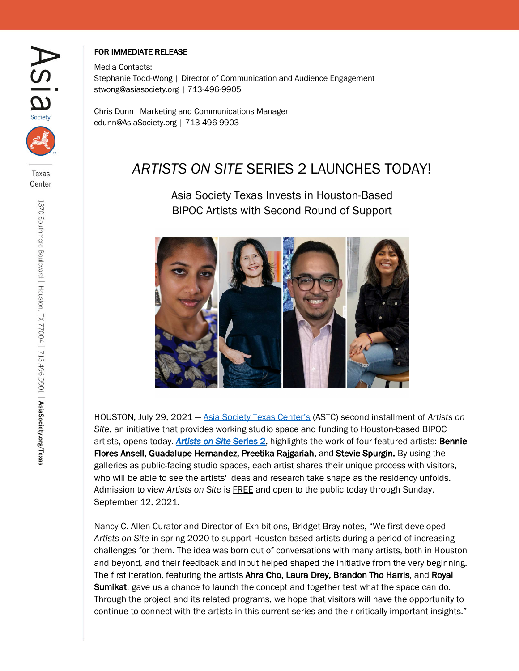

Texas Center

## FOR IMMEDIATE RELEASE

Media Contacts: Stephanie Todd-Wong | Director of Communication and Audience Engagement stwong@asiasociety.org | 713-496-9905

Chris Dunn| Marketing and Communications Manager cdunn@AsiaSociety.org | 713-496-9903

# *ARTISTS ON SITE* SERIES 2 LAUNCHES TODAY!

Asia Society Texas Invests in Houston-Based BIPOC Artists with Second Round of Support



HOUSTON, July 29, 2021 — Asia Society Texas Center's (ASTC) second installment of *Artists on Site*, an initiative that provides working studio space and funding to Houston-based BIPOC artists, opens today. *Artists on Site* Series 2, highlights the work of four featured artists: Bennie Flores Ansell, Guadalupe Hernandez, Preetika Rajgariah, and Stevie Spurgin. By using the galleries as public-facing studio spaces, each artist shares their unique process with visitors, who will be able to see the artists' ideas and research take shape as the residency unfolds. Admission to view *Artists on Site* is FREE and open to the public today through Sunday, September 12, 2021.

Nancy C. Allen Curator and Director of Exhibitions, Bridget Bray notes, "We first developed *Artists on Site* in spring 2020 to support Houston-based artists during a period of increasing challenges for them. The idea was born out of conversations with many artists, both in Houston and beyond, and their feedback and input helped shaped the initiative from the very beginning. The first iteration, featuring the artists Ahra Cho, Laura Drey, Brandon Tho Harris, and Royal Sumikat, gave us a chance to launch the concept and together test what the space can do. Through the project and its related programs, we hope that visitors will have the opportunity to continue to connect with the artists in this current series and their critically important insights."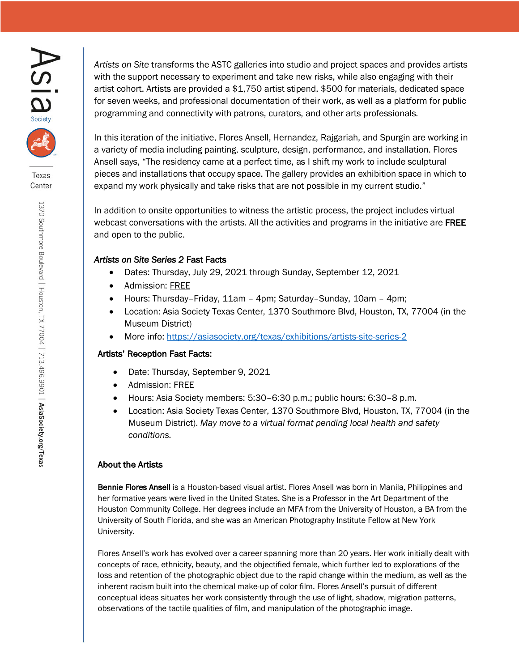



Texas Center

1370 Southmore Boulevard | Houston, TX 77004 | 713.496.9901 | AsiaSociety.org/Texas

*Artists on Site* transforms the ASTC galleries into studio and project spaces and provides artists with the support necessary to experiment and take new risks, while also engaging with their artist cohort. Artists are provided a \$1,750 artist stipend, \$500 for materials, dedicated space for seven weeks, and professional documentation of their work, as well as a platform for public programming and connectivity with patrons, curators, and other arts professionals.

In this iteration of the initiative, Flores Ansell, Hernandez, Rajgariah, and Spurgin are working in a variety of media including painting, sculpture, design, performance, and installation. Flores Ansell says, "The residency came at a perfect time, as I shift my work to include sculptural pieces and installations that occupy space. The gallery provides an exhibition space in which to expand my work physically and take risks that are not possible in my current studio."

In addition to onsite opportunities to witness the artistic process, the project includes virtual webcast conversations with the artists. All the activities and programs in the initiative are FREE and open to the public.

### *Artists on Site Series 2* Fast Facts

- Dates: Thursday, July 29, 2021 through Sunday, September 12, 2021
- Admission: FREE
- Hours: Thursday–Friday, 11am 4pm; Saturday–Sunday, 10am 4pm;
- Location: Asia Society Texas Center, 1370 Southmore Blvd, Houston, TX, 77004 (in the Museum District)
- More info: https://asiasociety.org/texas/exhibitions/artists-site-series-2

#### Artists' Reception Fast Facts:

- Date: Thursday, September 9, 2021
- Admission: FREE
- Hours: Asia Society members: 5:30–6:30 p.m.; public hours: 6:30–8 p.m.
- Location: Asia Society Texas Center, 1370 Southmore Blvd, Houston, TX, 77004 (in the Museum District). *May move to a virtual format pending local health and safety conditions.*

#### About the Artists

Bennie Flores Ansell is a Houston-based visual artist. Flores Ansell was born in Manila, Philippines and her formative years were lived in the United States. She is a Professor in the Art Department of the Houston Community College. Her degrees include an MFA from the University of Houston, a BA from the University of South Florida, and she was an American Photography Institute Fellow at New York University.

Flores Ansell's work has evolved over a career spanning more than 20 years. Her work initially dealt with concepts of race, ethnicity, beauty, and the objectified female, which further led to explorations of the loss and retention of the photographic object due to the rapid change within the medium, as well as the inherent racism built into the chemical make-up of color film. Flores Ansell's pursuit of different conceptual ideas situates her work consistently through the use of light, shadow, migration patterns, observations of the tactile qualities of film, and manipulation of the photographic image.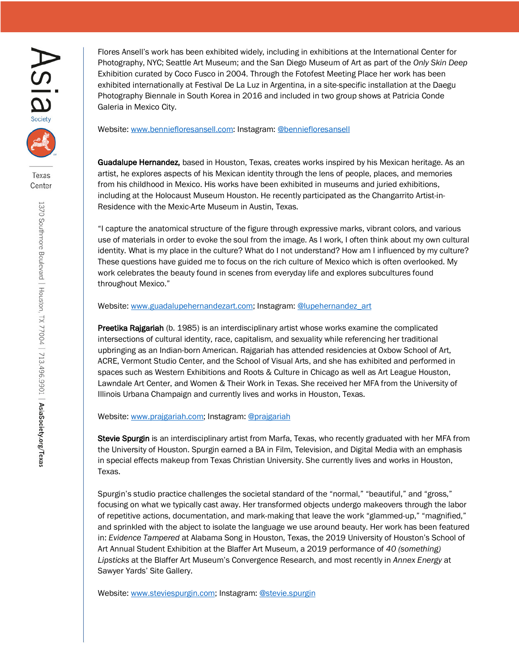

Texas Center

1370 Southmore Boulevard | Houston, TX 77004 | 713.496.9901 | AsiaSociety.org/Texas

Flores Ansell's work has been exhibited widely, including in exhibitions at the International Center for Photography, NYC; Seattle Art Museum; and the San Diego Museum of Art as part of the *Only Skin Deep* Exhibition curated by Coco Fusco in 2004. Through the Fotofest Meeting Place her work has been exhibited internationally at Festival De La Luz in Argentina, in a site-specific installation at the Daegu Photography Biennale in South Korea in 2016 and included in two group shows at Patricia Conde Galeria in Mexico City.

Website: www.benniefloresansell.com: Instagram: @benniefloresansell

Guadalupe Hernandez, based in Houston, Texas, creates works inspired by his Mexican heritage. As an artist, he explores aspects of his Mexican identity through the lens of people, places, and memories from his childhood in Mexico. His works have been exhibited in museums and juried exhibitions, including at the Holocaust Museum Houston. He recently participated as the Changarrito Artist-in-Residence with the Mexic-Arte Museum in Austin, Texas.

"I capture the anatomical structure of the figure through expressive marks, vibrant colors, and various use of materials in order to evoke the soul from the image. As I work, I often think about my own cultural identity. What is my place in the culture? What do I not understand? How am I influenced by my culture? These questions have guided me to focus on the rich culture of Mexico which is often overlooked. My work celebrates the beauty found in scenes from everyday life and explores subcultures found throughout Mexico."

Website: www.guadalupehernandezart.com; Instagram: @lupehernandez\_art

Preetika Rajgariah (b. 1985) is an interdisciplinary artist whose works examine the complicated intersections of cultural identity, race, capitalism, and sexuality while referencing her traditional upbringing as an Indian-born American. Rajgariah has attended residencies at Oxbow School of Art, ACRE, Vermont Studio Center, and the School of Visual Arts, and she has exhibited and performed in spaces such as Western Exhibitions and Roots & Culture in Chicago as well as Art League Houston, Lawndale Art Center, and Women & Their Work in Texas. She received her MFA from the University of Illinois Urbana Champaign and currently lives and works in Houston, Texas.

Website: www.prajgariah.com; Instagram: @prajgariah

Stevie Spurgin is an interdisciplinary artist from Marfa, Texas, who recently graduated with her MFA from the University of Houston. Spurgin earned a BA in Film, Television, and Digital Media with an emphasis in special effects makeup from Texas Christian University. She currently lives and works in Houston, Texas.

Spurgin's studio practice challenges the societal standard of the "normal," "beautiful," and "gross," focusing on what we typically cast away. Her transformed objects undergo makeovers through the labor of repetitive actions, documentation, and mark-making that leave the work "glammed-up," "magnified," and sprinkled with the abject to isolate the language we use around beauty. Her work has been featured in: *Evidence Tampered* at Alabama Song in Houston, Texas, the 2019 University of Houston's School of Art Annual Student Exhibition at the Blaffer Art Museum, a 2019 performance of *40 (something) Lipsticks* at the Blaffer Art Museum's Convergence Research, and most recently in *Annex Energy* at Sawyer Yards' Site Gallery.

Website: www.steviespurgin.com; Instagram: @stevie.spurgin